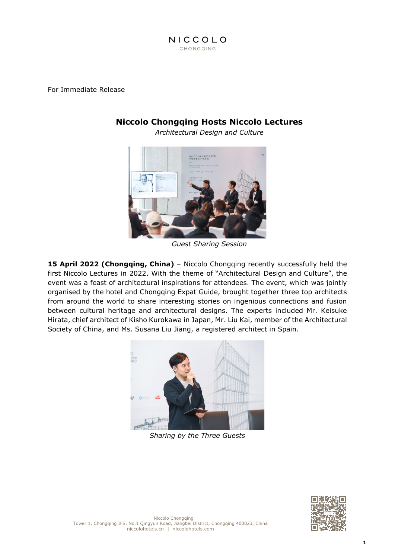

For Immediate Release

## **Niccolo Chongqing Hosts Niccolo Lectures**

*Architectural Design and Culture*



*Guest Sharing Session*

**15 April 2022 (Chongqing, China)** – Niccolo Chongqing recently successfully held the first Niccolo Lectures in 2022. With the theme of "Architectural Design and Culture", the event was a feast of architectural inspirations for attendees. The event, which was jointly organised by the hotel and Chongqing Expat Guide, brought together three top architects from around the world to share interesting stories on ingenious connections and fusion between cultural heritage and architectural designs. The experts included Mr. Keisuke Hirata, chief architect of Kisho Kurokawa in Japan, Mr. Liu Kai, member of the Architectural Society of China, and Ms. Susana Liu Jiang, a registered architect in Spain.



*Sharing by the Three Guests*

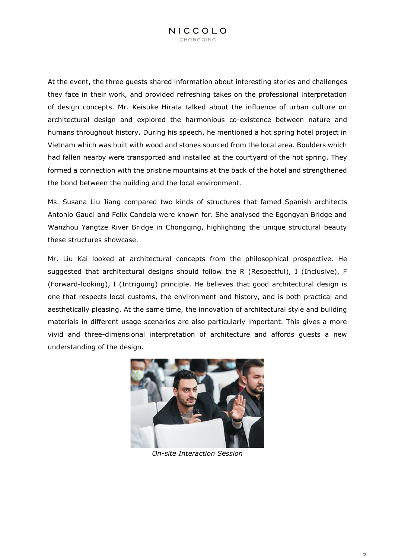At the event, the three guests shared information about interesting stories and challenges they face in their work, and provided refreshing takes on the professional interpretation of design concepts. Mr. Keisuke Hirata talked about the influence of urban culture on architectural design and explored the harmonious co-existence between nature and humans throughout history. During his speech, he mentioned a hot spring hotel project in Vietnam which was built with wood and stones sourced from the local area. Boulders which had fallen nearby were transported and installed at the courtyard of the hot spring. They formed a connection with the pristine mountains at the back of the hotel and strengthened the bond between the building and the local environment.

Ms. Susana Liu Jiang compared two kinds of structures that famed Spanish architects Antonio Gaudi and Felix Candela were known for. She analysed the Egongyan Bridge and Wanzhou Yangtze River Bridge in Chongqing, highlighting the unique structural beauty these structures showcase.

Mr. Liu Kai looked at architectural concepts from the philosophical prospective. He suggested that architectural designs should follow the R (Respectful), I (Inclusive), F (Forward-looking), I (Intriguing) principle. He believes that good architectural design is one that respects local customs, the environment and history, and is both practical and aesthetically pleasing. At the same time, the innovation of architectural style and building materials in different usage scenarios are also particularly important. This gives a more vivid and three-dimensional interpretation of architecture and affords guests a new understanding of the design.



*On-site Interaction Session*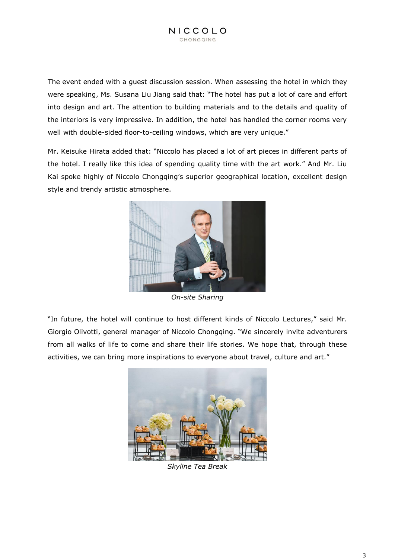The event ended with a guest discussion session. When assessing the hotel in which they were speaking, Ms. Susana Liu Jiang said that: "The hotel has put a lot of care and effort into design and art. The attention to building materials and to the details and quality of the interiors is very impressive. In addition, the hotel has handled the corner rooms very well with double-sided floor-to-ceiling windows, which are very unique."

Mr. Keisuke Hirata added that: "Niccolo has placed a lot of art pieces in different parts of the hotel. I really like this idea of spending quality time with the art work." And Mr. Liu Kai spoke highly of Niccolo Chongqing's superior geographical location, excellent design style and trendy artistic atmosphere.



*On-site Sharing*

"In future, the hotel will continue to host different kinds of Niccolo Lectures," said Mr. Giorgio Olivotti, general manager of Niccolo Chongqing. "We sincerely invite adventurers from all walks of life to come and share their life stories. We hope that, through these activities, we can bring more inspirations to everyone about travel, culture and art."



*Skyline Tea Break*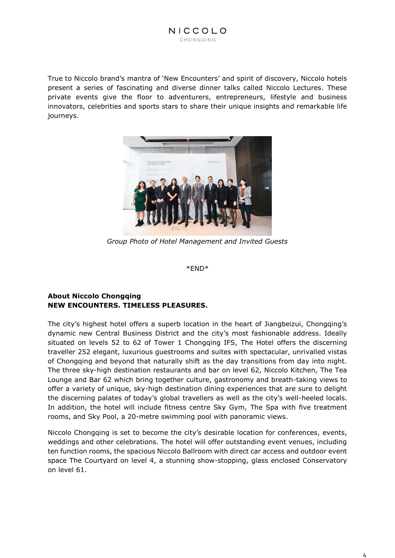True to Niccolo brand's mantra of 'New Encounters' and spirit of discovery, Niccolo hotels present a series of fascinating and diverse dinner talks called Niccolo Lectures. These private events give the floor to adventurers, entrepreneurs, lifestyle and business innovators, celebrities and sports stars to share their unique insights and remarkable life journeys.



*Group Photo of Hotel Management and Invited Guests*

\*END\*

## **About Niccolo Chongqing NEW ENCOUNTERS. TIMELESS PLEASURES.**

The city's highest hotel offers a superb location in the heart of Jiangbeizui, Chongqing's dynamic new Central Business District and the city's most fashionable address. Ideally situated on levels 52 to 62 of Tower 1 Chongqing IFS, The Hotel offers the discerning traveller 252 elegant, luxurious guestrooms and suites with spectacular, unrivalled vistas of Chongqing and beyond that naturally shift as the day transitions from day into night. The three sky-high destination restaurants and bar on level 62, Niccolo Kitchen, The Tea Lounge and Bar 62 which bring together culture, gastronomy and breath-taking views to offer a variety of unique, sky-high destination dining experiences that are sure to delight the discerning palates of today's global travellers as well as the city's well-heeled locals. In addition, the hotel will include fitness centre Sky Gym, The Spa with five treatment rooms, and Sky Pool, a 20-metre swimming pool with panoramic views.

Niccolo Chongqing is set to become the city's desirable location for conferences, events, weddings and other celebrations. The hotel will offer outstanding event venues, including ten function rooms, the spacious Niccolo Ballroom with direct car access and outdoor event space The Courtyard on level 4, a stunning show-stopping, glass enclosed Conservatory on level 61.